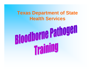#### **Texas Department of State Health Services**

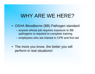### WHY ARE WE HERE?

- OSHA Bloodborne (BB) Pathogen standard
	- anyone whose job requires exposure to BB pathogens is required to complete training
	- employees who are trained in CPR and first aid
- The more you know, the better you will perform in real situations!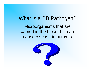#### What is a BB Pathogen?

Microorganisms that are carried in the blood that can cause disease in humans

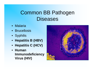### Common BB Pathogen **Diseases**

- Malaria
- Brucellosis
- Syphilis
- **Hepatitis B (HBV)**
- **Hepatitis C (HCV)**
- **Human Immunodeficiency Virus (HIV)**

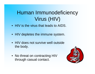## Human Immunodeficiency Virus (HIV)

- HIV is the virus that leads to AIDS.
- HIV depletes the immune system.
- HIV does not survive well outside the body.
- No threat on contracting HIV through casual contact.

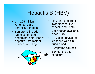# Hepatitis B (HBV)

- 1—1.25 million Americans are chronically infected.
- Symptoms include: jaundice, fatigue, abdominal pain, loss of appetite, intermittent nausea, vomiting



- May lead to chronic liver disease, liver cancer, and death
- Vaccination available since 1982
- HBV can survive for at least one week in dried blood.
- Symptoms can occur 1-9 months after exposure.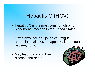## Hepatitis C (HCV)

- Hepatitis C is the most common chronic bloodborne infection in the United States.
- Symptoms include: jaundice, fatigue, abdominal pain, loss of appetite, intermittent nausea, vomiting
- May lead to chronic liver disease and death

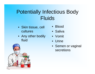## Potentially Infectious Body Fluids

- Skin tissue, cell cultures
- Any other bodily fluid
- Blood
- Saliva
- Vomit
- Urine
- Semen or vaginal secretions

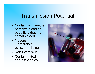### Transmission Potential

- Contact with another person's blood or body fluid that may contain blood
- Mucous membranes: eyes, mouth, nose
- Non-intact skin
- Contaminated sharps/needles

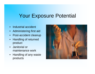### Your Exposure Potential

- Industrial accident
- Administering first aid
- Post-accident cleanup
- Handling of returned product
- Janitorial or maintenance work
- Handling of any waste products

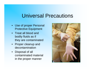### Universal Precautions

- Use of proper Personal Protective Equipment
- Treat all blood and bodily fluids as if they are contaminated
- Proper cleanup and decontamination
- Disposal of all contaminated material in the proper manner

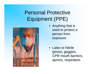## Personal Protective Equipment (PPE)



- Anything that is used to protect a person from exposure
- Latex or Nitrile gloves, goggles, CPR mouth barriers, aprons, respirators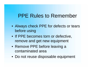#### PPE Rules to Remember

- Always check PPE for defects or tears before using
- If PPE becomes torn or defective, remove and get new equipment
- Remove PPE before leaving a contaminated area
- Do not reuse disposable equipment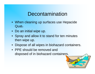#### Decontamination

- When cleaning up surfaces use Hepacide Quat ®
- Do an initial wipe up.
- Spray and allow it to stand for ten minutes then wipe up.
- Dispose of all wipes in biohazard containers.
- PPE should be removed and disposed of in biohazard containers.

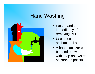### Hand Washing



- Wash hands immediately after removing PPE.
- Use a soft antibacterial soap.
- A hand sanitizer can be used but wash with soap and water as soon as possible.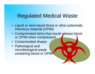### Regulated Medical Waste

- Liquid or semi-liquid blood or other potentially infectious material (OPIM)
- Contaminated items that would release blood or OPIM when compressed
- Contaminated sharps
- Pathological and microbiological waste containing blood or OPIM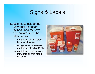## Signs & Labels

Labels must include the universal biohazard symbol, and the term "Biohazard" must be attached to:

- containers of regulated biohazard waste
- refrigerators or freezers containing blood or OPIM
- containers used to store, transport, or ship blood or OPIM

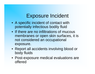### Exposure Incident

- A specific incident of contact with potentially infectious bodily fluid
- If there are no infiltrations of mucous membranes or open skin surfaces, it is not considered an occupational exposure.
- Report all accidents involving blood or body fluids
- Post-exposure medical evaluations are offered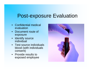### Post-exposure Evaluation

- Confidential medical evaluation
- Document route of exposure
- Identify source individual
- Test source individuals blood (with individuals consent)
- Provide results to exposed employee

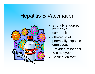### Hepatitis B Vaccination



- Strongly endorsed by medical communities
- Offered to all potentially exposed employees
- Provided at no cost to employees
- Declination form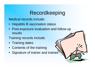### Recordkeeping

Medical records include:

- Hepatitis B vaccination status
- Post-exposure evaluation and follow-up results
- Training records include:
- Training dates
- Contents of the training
- Signature of trainer and trainee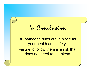In Conclusion

BB pathogen rules are in place for your health and safety. Failure to follow them is a risk that does not need to be taken!